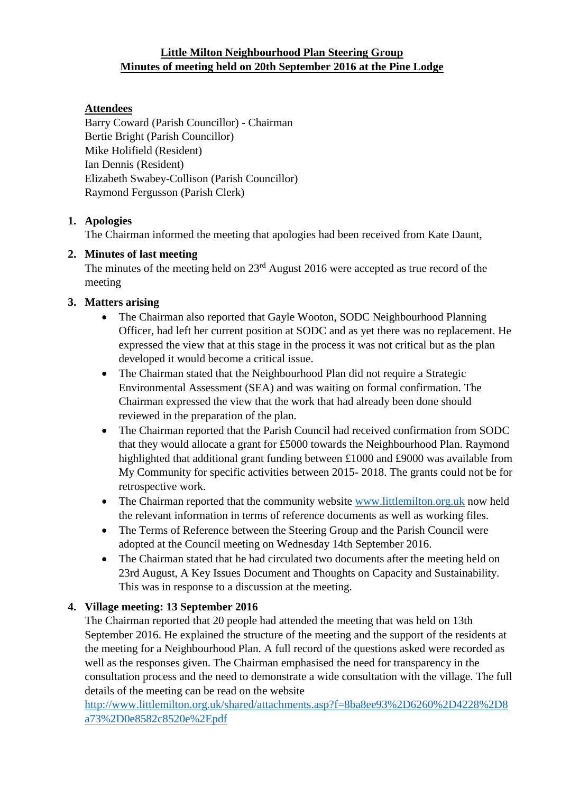## **Little Milton Neighbourhood Plan Steering Group Minutes of meeting held on 20th September 2016 at the Pine Lodge**

# **Attendees**

Barry Coward (Parish Councillor) - Chairman Bertie Bright (Parish Councillor) Mike Holifield (Resident) Ian Dennis (Resident) Elizabeth Swabey-Collison (Parish Councillor) Raymond Fergusson (Parish Clerk)

## **1. Apologies**

The Chairman informed the meeting that apologies had been received from Kate Daunt,

## **2. Minutes of last meeting**

The minutes of the meeting held on 23<sup>rd</sup> August 2016 were accepted as true record of the meeting

# **3. Matters arising**

- The Chairman also reported that Gayle Wooton, SODC Neighbourhood Planning Officer, had left her current position at SODC and as yet there was no replacement. He expressed the view that at this stage in the process it was not critical but as the plan developed it would become a critical issue.
- The Chairman stated that the Neighbourhood Plan did not require a Strategic Environmental Assessment (SEA) and was waiting on formal confirmation. The Chairman expressed the view that the work that had already been done should reviewed in the preparation of the plan.
- The Chairman reported that the Parish Council had received confirmation from SODC that they would allocate a grant for £5000 towards the Neighbourhood Plan. Raymond highlighted that additional grant funding between £1000 and £9000 was available from My Community for specific activities between 2015- 2018. The grants could not be for retrospective work.
- The Chairman reported that the community website [www.littlemilton.org.uk](http://www.littlemilton.org.uk/) now held the relevant information in terms of reference documents as well as working files.
- The Terms of Reference between the Steering Group and the Parish Council were adopted at the Council meeting on Wednesday 14th September 2016.
- The Chairman stated that he had circulated two documents after the meeting held on 23rd August, A Key Issues Document and Thoughts on Capacity and Sustainability. This was in response to a discussion at the meeting.

### **4. Village meeting: 13 September 2016**

The Chairman reported that 20 people had attended the meeting that was held on 13th September 2016. He explained the structure of the meeting and the support of the residents at the meeting for a Neighbourhood Plan. A full record of the questions asked were recorded as well as the responses given. The Chairman emphasised the need for transparency in the consultation process and the need to demonstrate a wide consultation with the village. The full details of the meeting can be read on the website

[http://www.littlemilton.org.uk/shared/attachments.asp?f=8ba8ee93%2D6260%2D4228%2D8](http://www.littlemilton.org.uk/shared/attachments.asp?f=8ba8ee93%2D6260%2D4228%2D8a73%2D0e8582c8520e%2Epdf) [a73%2D0e8582c8520e%2Epdf](http://www.littlemilton.org.uk/shared/attachments.asp?f=8ba8ee93%2D6260%2D4228%2D8a73%2D0e8582c8520e%2Epdf)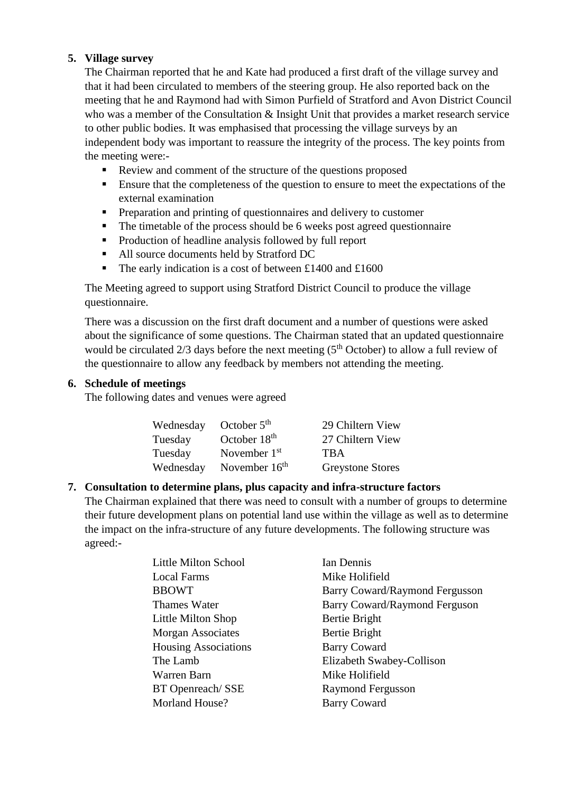### **5. Village survey**

The Chairman reported that he and Kate had produced a first draft of the village survey and that it had been circulated to members of the steering group. He also reported back on the meeting that he and Raymond had with Simon Purfield of Stratford and Avon District Council who was a member of the Consultation & Insight Unit that provides a market research service to other public bodies. It was emphasised that processing the village surveys by an independent body was important to reassure the integrity of the process. The key points from the meeting were:-

- Review and comment of the structure of the questions proposed
- **Ensure that the completeness of the question to ensure to meet the expectations of the** external examination
- Preparation and printing of questionnaires and delivery to customer
- The timetable of the process should be 6 weeks post agreed questionnaire
- **Production of headline analysis followed by full report**
- All source documents held by Stratford DC
- The early indication is a cost of between £1400 and £1600

The Meeting agreed to support using Stratford District Council to produce the village questionnaire.

There was a discussion on the first draft document and a number of questions were asked about the significance of some questions. The Chairman stated that an updated questionnaire would be circulated  $2/3$  days before the next meeting ( $5<sup>th</sup>$  October) to allow a full review of the questionnaire to allow any feedback by members not attending the meeting.

#### **6. Schedule of meetings**

The following dates and venues were agreed

| Wednesday | October $5th$            | 29 Chiltern View        |
|-----------|--------------------------|-------------------------|
| Tuesday   | October 18 <sup>th</sup> | 27 Chiltern View        |
| Tuesday   | November $1st$           | <b>TRA</b>              |
| Wednesday | November $16th$          | <b>Greystone Stores</b> |

### **7. Consultation to determine plans, plus capacity and infra-structure factors**

The Chairman explained that there was need to consult with a number of groups to determine their future development plans on potential land use within the village as well as to determine the impact on the infra-structure of any future developments. The following structure was agreed:-

| <b>Little Milton School</b> | Ian Dennis                     |
|-----------------------------|--------------------------------|
| <b>Local Farms</b>          | Mike Holifield                 |
| <b>BBOWT</b>                | Barry Coward/Raymond Fergusson |
| Thames Water                | Barry Coward/Raymond Ferguson  |
| Little Milton Shop          | Bertie Bright                  |
| <b>Morgan Associates</b>    | Bertie Bright                  |
| <b>Housing Associations</b> | <b>Barry Coward</b>            |
| The Lamb                    | Elizabeth Swabey-Collison      |
| Warren Barn                 | Mike Holifield                 |
| BT Openreach/SSE            | Raymond Fergusson              |
| Morland House?              | <b>Barry Coward</b>            |
|                             |                                |